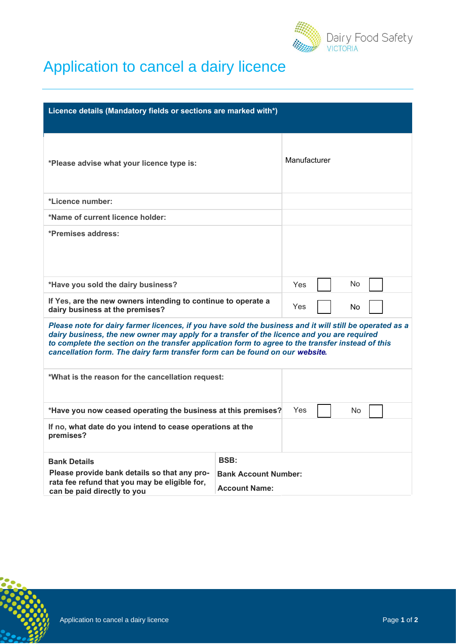

## Application to cancel a dairy licence

| Licence details (Mandatory fields or sections are marked with*)                                                                                                                                                                                                                                                                                                                            |             |              |  |
|--------------------------------------------------------------------------------------------------------------------------------------------------------------------------------------------------------------------------------------------------------------------------------------------------------------------------------------------------------------------------------------------|-------------|--------------|--|
| *Please advise what your licence type is:                                                                                                                                                                                                                                                                                                                                                  |             | Manufacturer |  |
| *Licence number:                                                                                                                                                                                                                                                                                                                                                                           |             |              |  |
| *Name of current licence holder:                                                                                                                                                                                                                                                                                                                                                           |             |              |  |
| *Premises address:                                                                                                                                                                                                                                                                                                                                                                         |             |              |  |
| *Have you sold the dairy business?                                                                                                                                                                                                                                                                                                                                                         |             | No<br>Yes    |  |
| If Yes, are the new owners intending to continue to operate a<br>dairy business at the premises?                                                                                                                                                                                                                                                                                           |             | Yes<br>No.   |  |
| Please note for dairy farmer licences, if you have sold the business and it will still be operated as a<br>dairy business, the new owner may apply for a transfer of the licence and you are required<br>to complete the section on the transfer application form to agree to the transfer instead of this<br>cancellation form. The dairy farm transfer form can be found on our website. |             |              |  |
| *What is the reason for the cancellation request:                                                                                                                                                                                                                                                                                                                                          |             |              |  |
| *Have you now ceased operating the business at this premises?                                                                                                                                                                                                                                                                                                                              |             | Yes<br>No    |  |
| If no, what date do you intend to cease operations at the<br>premises?                                                                                                                                                                                                                                                                                                                     |             |              |  |
| <b>Bank Details</b>                                                                                                                                                                                                                                                                                                                                                                        | <b>BSB:</b> |              |  |
| Please provide bank details so that any pro-<br><b>Bank Account Number:</b><br>rata fee refund that you may be eligible for,                                                                                                                                                                                                                                                               |             |              |  |
| <b>Account Name:</b><br>can be paid directly to you                                                                                                                                                                                                                                                                                                                                        |             |              |  |